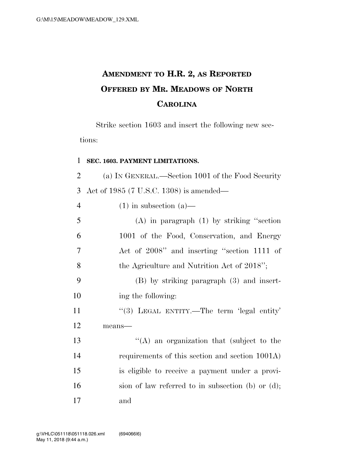## **AMENDMENT TO H.R. 2, AS REPORTED OFFERED BY MR. MEADOWS OF NORTH CAROLINA**

Strike section 1603 and insert the following new sections:

## **SEC. 1603. PAYMENT LIMITATIONS.**

 (a) IN GENERAL.—Section 1001 of the Food Security Act of 1985 (7 U.S.C. 1308) is amended—

(1) in subsection (a)—

| 5              | $(A)$ in paragraph $(1)$ by striking "section"       |
|----------------|------------------------------------------------------|
| 6              | 1001 of the Food, Conservation, and Energy           |
| $\overline{7}$ | Act of 2008" and inserting "section 1111 of          |
| 8              | the Agriculture and Nutrition Act of 2018";          |
| 9              | $(B)$ by striking paragraph $(3)$ and insert-        |
| 10             | ing the following:                                   |
| 11             | "(3) LEGAL ENTITY.—The term 'legal entity'           |
| 12             | means-                                               |
| 13             | $\lq\lq$ an organization that (subject to the        |
| 14             | requirements of this section and section 1001A)      |
| 15             | is eligible to receive a payment under a provi-      |
| 16             | sion of law referred to in subsection (b) or $(d)$ ; |

and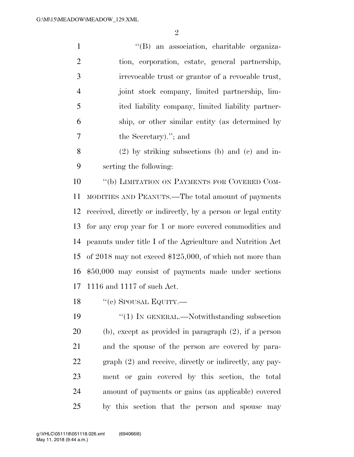1 ''(B) an association, charitable organiza- tion, corporation, estate, general partnership, irrevocable trust or grantor of a revocable trust, joint stock company, limited partnership, lim- ited liability company, limited liability partner- ship, or other similar entity (as determined by the Secretary).''; and

 (2) by striking subsections (b) and (c) and in-serting the following:

10 "(b) LIMITATION ON PAYMENTS FOR COVERED COM- MODITIES AND PEANUTS.—The total amount of payments received, directly or indirectly, by a person or legal entity for any crop year for 1 or more covered commodities and peanuts under title I of the Agriculture and Nutrition Act of 2018 may not exceed \$125,000, of which not more than \$50,000 may consist of payments made under sections 1116 and 1117 of such Act.

18 "(c) SPOUSAL EQUITY.—

19 "(1) IN GENERAL.—Notwithstanding subsection (b), except as provided in paragraph (2), if a person and the spouse of the person are covered by para- graph (2) and receive, directly or indirectly, any pay- ment or gain covered by this section, the total amount of payments or gains (as applicable) covered by this section that the person and spouse may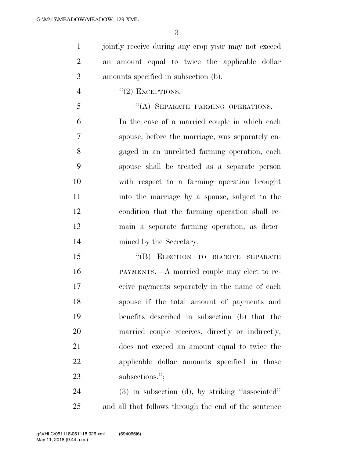1 jointly receive during any crop year may not exceed an amount equal to twice the applicable dollar amounts specified in subsection (b).

4  $"(2)$  EXCEPTIONS.—

5 "(A) SEPARATE FARMING OPERATIONS. In the case of a married couple in which each spouse, before the marriage, was separately en- gaged in an unrelated farming operation, each spouse shall be treated as a separate person with respect to a farming operation brought into the marriage by a spouse, subject to the condition that the farming operation shall re- main a separate farming operation, as deter-mined by the Secretary.

15 "(B) ELECTION TO RECEIVE SEPARATE PAYMENTS.—A married couple may elect to re- ceive payments separately in the name of each spouse if the total amount of payments and benefits described in subsection (b) that the married couple receives, directly or indirectly, does not exceed an amount equal to twice the applicable dollar amounts specified in those 23 subsections.";

 (3) in subsection (d), by striking ''associated'' and all that follows through the end of the sentence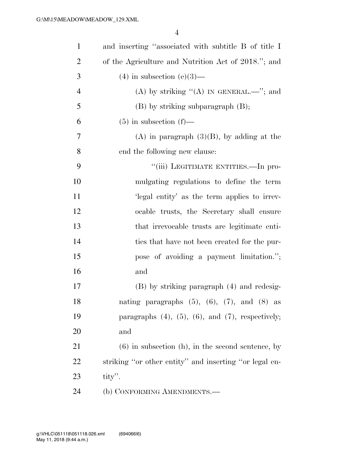| $\mathbf{1}$   | and inserting "associated with subtitle B of title I         |
|----------------|--------------------------------------------------------------|
| $\overline{2}$ | of the Agriculture and Nutrition Act of 2018."; and          |
| 3              | $(4)$ in subsection $(e)(3)$ —                               |
| $\overline{4}$ | (A) by striking "(A) IN GENERAL.—"; and                      |
| 5              | $(B)$ by striking subparagraph $(B)$ ;                       |
| 6              | $(5)$ in subsection $(f)$ —                                  |
| 7              | $(A)$ in paragraph $(3)(B)$ , by adding at the               |
| 8              | end the following new clause:                                |
| 9              | "(iii) LEGITIMATE ENTITIES.—In pro-                          |
| 10             | mulgating regulations to define the term                     |
| 11             | 'legal entity' as the term applies to irrev-                 |
| 12             | ocable trusts, the Secretary shall ensure                    |
| 13             | that irrevocable trusts are legitimate enti-                 |
| 14             | ties that have not been created for the pur-                 |
| 15             | pose of avoiding a payment limitation.";                     |
| 16             | and                                                          |
| 17             | (B) by striking paragraph (4) and redesig-                   |
| 18             | nating paragraphs $(5)$ , $(6)$ , $(7)$ , and $(8)$ as       |
| 19             | paragraphs $(4)$ , $(5)$ , $(6)$ , and $(7)$ , respectively; |
| 20             | and                                                          |
| 21             | $(6)$ in subsection $(h)$ , in the second sentence, by       |
| 22             | striking "or other entity" and inserting "or legal en-       |
| 23             | $\text{tity}$ .                                              |
| 24             | (b) CONFORMING AMENDMENTS.—                                  |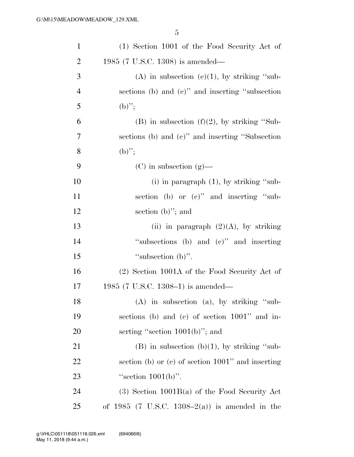| $\mathbf{1}$   | (1) Section 1001 of the Food Security Act of         |
|----------------|------------------------------------------------------|
| $\overline{2}$ | 1985 (7 U.S.C. 1308) is amended—                     |
| 3              | (A) in subsection (e)(1), by striking "sub-          |
| $\overline{4}$ | sections (b) and (c)" and inserting "subsection      |
| 5              | $(b)$ ";                                             |
| 6              | $(B)$ in subsection $(f)(2)$ , by striking "Sub-     |
| 7              | sections (b) and (c)" and inserting "Subsection      |
| 8              | $(b)$ ";                                             |
| 9              | $(C)$ in subsection $(g)$ —                          |
| 10             | (i) in paragraph $(1)$ , by striking "sub-           |
| 11             | section (b) or (c)" and inserting "sub-              |
| 12             | section $(b)$ "; and                                 |
| 13             | (ii) in paragraph $(2)(A)$ , by striking             |
| 14             | "subsections (b) and $(e)$ " and inserting           |
| 15             | "subsection $(b)$ ".                                 |
| 16             | (2) Section 1001A of the Food Security Act of        |
| 17             | 1985 (7 U.S.C. 1308–1) is amended—                   |
| 18             | (A) in subsection (a), by striking "sub-             |
| 19             | sections (b) and (c) of section $1001$ " and in-     |
| 20             | serting "section $1001(b)$ "; and                    |
| 21             | $(B)$ in subsection $(b)(1)$ , by striking "sub-     |
| 22             | section (b) or (c) of section $1001$ " and inserting |
| 23             | "section $1001(b)$ ".                                |
| 24             | $(3)$ Section 1001B(a) of the Food Security Act      |
| 25             | of 1985 (7 U.S.C. 1308–2(a)) is amended in the       |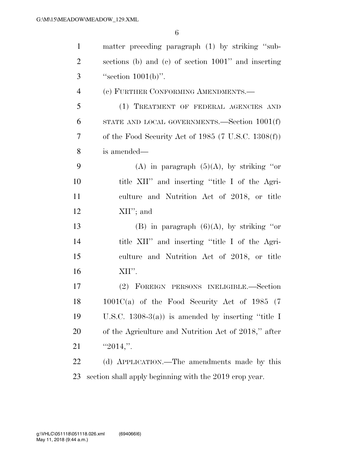| $\mathbf{1}$   | matter preceding paragraph (1) by striking "sub-               |
|----------------|----------------------------------------------------------------|
| $\overline{2}$ | sections (b) and (c) of section 1001" and inserting            |
| 3              | "section $1001(b)$ ".                                          |
| $\overline{4}$ | (c) FURTHER CONFORMING AMENDMENTS.—                            |
| 5              | (1) TREATMENT OF FEDERAL AGENCIES AND                          |
| 6              | STATE AND LOCAL GOVERNMENTS.—Section $1001(f)$                 |
| 7              | of the Food Security Act of 1985 $(7 \text{ U.S.C. } 1308(f))$ |
| 8              | is amended—                                                    |
| 9              | (A) in paragraph $(5)(A)$ , by striking "or                    |
| 10             | title XII" and inserting "title I of the Agri-                 |
| 11             | culture and Nutrition Act of 2018, or title                    |
| 12             | $XII$ "; and                                                   |
| 13             | (B) in paragraph $(6)(A)$ , by striking "or                    |
| 14             | title XII" and inserting "title I of the Agri-                 |
| 15             | culture and Nutrition Act of 2018, or title                    |
| 16             | XII".                                                          |
| 17             | (2) FOREIGN PERSONS INELIGIBLE.—Section                        |
| 18             | $1001C(a)$ of the Food Security Act of 1985 (7)                |
| 19             | U.S.C. $1308-3(a)$ is amended by inserting "title I            |
| 20             | of the Agriculture and Nutrition Act of 2018," after           |
| 21             | " $2014$ ,".                                                   |
| 22             | (d) APPLICATION.—The amendments made by this                   |
| 23             | section shall apply beginning with the 2019 crop year.         |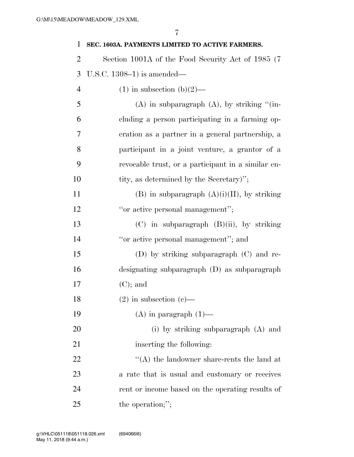| 1              | SEC. 1603A. PAYMENTS LIMITED TO ACTIVE FARMERS.    |
|----------------|----------------------------------------------------|
| $\overline{2}$ | Section 1001A of the Food Security Act of 1985 (7) |
| 3              | U.S.C. $1308-1$ ) is amended—                      |
| $\overline{4}$ | $(1)$ in subsection $(b)(2)$ —                     |
| 5              | $(A)$ in subparagraph $(A)$ , by striking "(in-    |
| 6              | cluding a person participating in a farming op-    |
| 7              | eration as a partner in a general partnership, a   |
| 8              | participant in a joint venture, a grantor of a     |
| 9              | revocable trust, or a participant in a similar en- |
| 10             | tity, as determined by the Secretary)";            |
| 11             | $(B)$ in subparagraph $(A)(i)(II)$ , by striking   |
| 12             | "or active personal management";                   |
| 13             | $(C)$ in subparagraph $(B)(ii)$ , by striking      |
| 14             | "or active personal management"; and               |
| 15             | (D) by striking subparagraph $(C)$ and re-         |
| 16             | designating subparagraph (D) as subparagraph       |
| 17             | $(C)$ ; and                                        |
| 18             | $(2)$ in subsection $(e)$ —                        |
| 19             | $(A)$ in paragraph $(1)$ —                         |
| 20             | (i) by striking subparagraph (A) and               |
| 21             | inserting the following:                           |
| 22             | $\lq\lq$ the landowner share-rents the land at     |
| 23             | a rate that is usual and customary or receives     |
| 24             | rent or income based on the operating results of   |
| 25             | the operation;";                                   |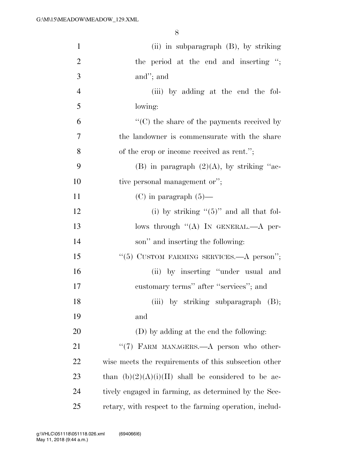| $\mathbf{1}$   | (ii) in subparagraph $(B)$ , by striking               |
|----------------|--------------------------------------------------------|
| $\overline{2}$ | the period at the end and inserting ";                 |
| 3              | and"; and                                              |
| $\overline{4}$ | (iii) by adding at the end the fol-                    |
| 5              | lowing:                                                |
| 6              | $\lq\lq$ (C) the share of the payments received by     |
| $\overline{7}$ | the landowner is commensurate with the share           |
| 8              | of the crop or income received as rent.";              |
| 9              | (B) in paragraph $(2)(A)$ , by striking "ac-           |
| 10             | tive personal management or";                          |
| 11             | $(C)$ in paragraph $(5)$ —                             |
| 12             | (i) by striking " $(5)$ " and all that fol-            |
| 13             | lows through $((A)$ IN GENERAL.—A per-                 |
| 14             | son" and inserting the following:                      |
| 15             | "(5) CUSTOM FARMING SERVICES.—A person";               |
| 16             | (ii) by inserting "under usual and                     |
| 17             | customary terms" after "services"; and                 |
| 18             | (iii) by striking subparagraph (B);                    |
| 19             | and                                                    |
| 20             | (D) by adding at the end the following:                |
| 21             | "(7) FARM MANAGERS.—A person who other-                |
| 22             | wise meets the requirements of this subsection other   |
| 23             | than $(b)(2)(A)(i)(II)$ shall be considered to be ac-  |
| 24             | tively engaged in farming, as determined by the Sec-   |
| 25             | retary, with respect to the farming operation, includ- |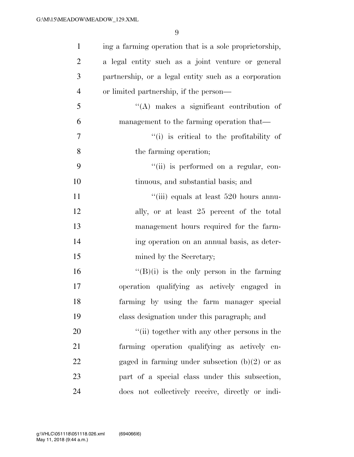| $\mathbf{1}$   | ing a farming operation that is a sole proprietorship, |
|----------------|--------------------------------------------------------|
| $\overline{2}$ | a legal entity such as a joint venture or general      |
| 3              | partnership, or a legal entity such as a corporation   |
| $\overline{4}$ | or limited partnership, if the person—                 |
| 5              | $\lq\lq$ makes a significant contribution of           |
| 6              | management to the farming operation that—              |
| $\overline{7}$ | "(i) is critical to the profitability of               |
| 8              | the farming operation;                                 |
| 9              | "(ii) is performed on a regular, con-                  |
| 10             | tinuous, and substantial basis; and                    |
| 11             | "(iii) equals at least 520 hours annu-                 |
| 12             | ally, or at least 25 percent of the total              |
| 13             | management hours required for the farm-                |
| 14             | ing operation on an annual basis, as deter-            |
| 15             | mined by the Secretary;                                |
| 16             | $\lq\lq(B)(i)$ is the only person in the farming       |
| 17             | operation qualifying as actively engaged in            |
| 18             | farming by using the farm manager special              |
| 19             | class designation under this paragraph; and            |
| 20             | "(ii) together with any other persons in the           |
| 21             | farming operation qualifying as actively en-           |
| 22             | gaged in farming under subsection $(b)(2)$ or as       |
| 23             | part of a special class under this subsection,         |
| 24             | does not collectively receive, directly or indi-       |